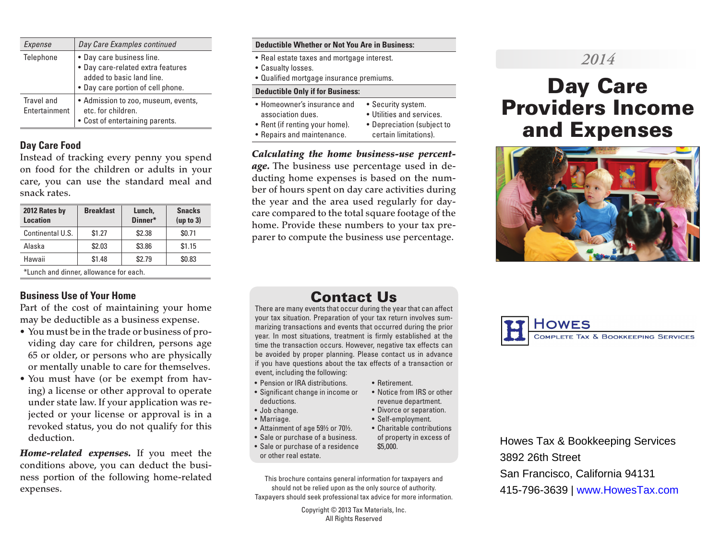| Expense                     | Day Care Examples continued                                                                                                      |
|-----------------------------|----------------------------------------------------------------------------------------------------------------------------------|
| Telephone                   | • Day care business line.<br>· Day care-related extra features<br>added to basic land line.<br>• Day care portion of cell phone. |
| Travel and<br>Entertainment | • Admission to zoo, museum, events,<br>etc. for children.<br>• Cost of entertaining parents.                                     |

#### **Day Care Food**

Instead of tracking every penny you spend on food for the children or adults in your care, you can use the standard meal and snack rates.

| 2012 Rates by<br><b>Location</b>       | <b>Breakfast</b> | Lunch,<br>Dinner* | <b>Snacks</b><br>(up to 3) |  |
|----------------------------------------|------------------|-------------------|----------------------------|--|
| Continental U.S.                       | \$1.27           | \$2.38            | \$0.71                     |  |
| Alaska                                 | \$2.03           | \$3.86            | \$1.15                     |  |
| Hawaii                                 | \$1.48           | \$2.79            | \$0.83                     |  |
| *Lunch and dinner, allowance for each. |                  |                   |                            |  |

#### **Business Use of Your Home**

Part of the cost of maintaining your home may be deductible as a business expense.

- You must be in the trade or business of providing day care for children, persons age 65 or older, or persons who are physically or mentally unable to care for themselves.
- You must have (or be exempt from having) a license or other approval to operate under state law. If your application was rejected or your license or approval is in a revoked status, you do not qualify for this deduction.

*Home-related expenses.* If you meet the conditions above, you can deduct the business portion of the following home-related expenses.

#### **Deductible Whether or Not You Are in Business:**

- Real estate taxes and mortgage interest.
- Casualty losses.
- Qualified mortgage insurance premiums.

#### **Deductible Only if for Business:**

- Homeowner's insurance and • Security system.
- association dues.
- Utilities and services.
- Rent (if renting your home). • Repairs and maintenance.
- Depreciation (subject to
- certain limitations).

*Calculating the home business-use percentage.* The business use percentage used in deducting home expenses is based on the number of hours spent on day care activities during the year and the area used regularly for daycare compared to the total square footage of the home. Provide these numbers to your tax preparer to compute the business use percentage.

# *2014*

# Day Care Providers Income and Expenses



# Contact Us

There are many events that occur during the year that can affect your tax situation. Preparation of your tax return involves summarizing transactions and events that occurred during the prior year. In most situations, treatment is firmly established at the time the transaction occurs. However, negative tax effects can be avoided by proper planning. Please contact us in advance if you have questions about the tax effects of a transaction or event, including the following:

• Retirement.

\$5,000.

• Notice from IRS or other revenue department. • Divorce or separation. • Self-employment. • Charitable contributions of property in excess of

- Pension or IRA distributions.
- Significant change in income or deductions.
- Job change.
- Marriage.
- Attainment of age 59½ or 70½.
- Sale or purchase of a business.
- Sale or purchase of a residence or other real estate.
- This brochure contains general information for taxpayers and should not be relied upon as the only source of authority. Taxpayers should seek professional tax advice for more information.

Copyright © 2013 Tax Materials, Inc. All Rights Reserved



Howes Tax & Bookkeeping Services 3892 26th Street San Francisco, California 94131 415-796-3639 | www.HowesTax.com